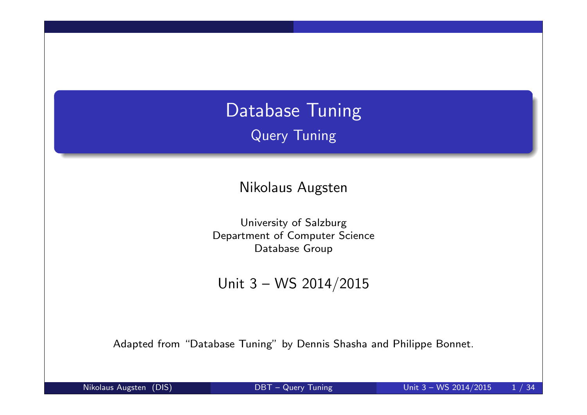# Database Tuning Query Tuning

Nikolaus Augsten

University of Salzburg Department of Computer Science Database Group

Unit 3 – WS 2014/2015

Adapted from "Database Tuning" by Dennis Shasha and Philippe Bonnet.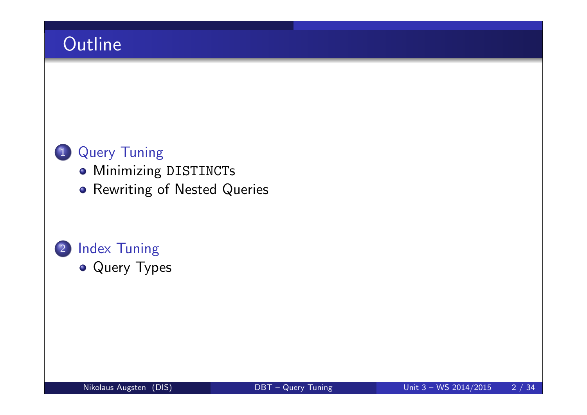# **Outline**

### 1 Query Tuning

- **Minimizing DISTINCTs**
- **Rewriting of Nested Queries**

# 2 Index Tuning

• Query Types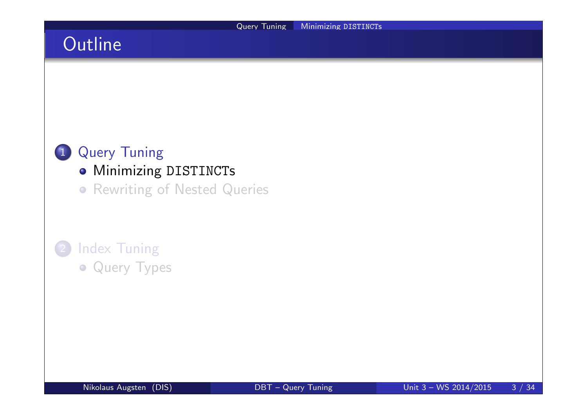# **Outline**

### 1 Query Tuning

- **Minimizing DISTINCTs**
- **Rewriting of Nested Queries**

# **Index Tuning**

**• Query Types**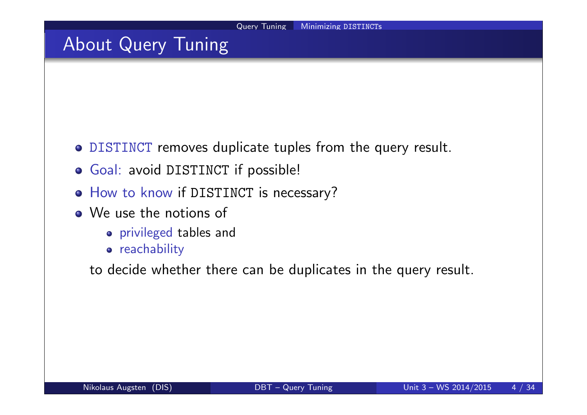## About Query Tuning

- DISTINCT removes duplicate tuples from the query result.
- Goal: avoid DISTINCT if possible!
- o How to know if DISTINCT is necessary?
- We use the notions of
	- privileged tables and
	- **•** reachability

to decide whether there can be duplicates in the query result.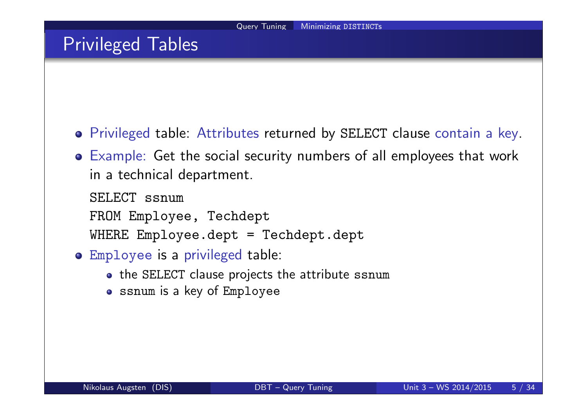### Privileged Tables

- Privileged table: Attributes returned by SELECT clause contain a key.
- Example: Get the social security numbers of all employees that work in a technical department.

SELECT ssnum FROM Employee, Techdept WHERE Employee.dept = Techdept.dept

- Employee is a privileged table:
	- the SELECT clause projects the attribute ssnum
	- ssnum is a key of Employee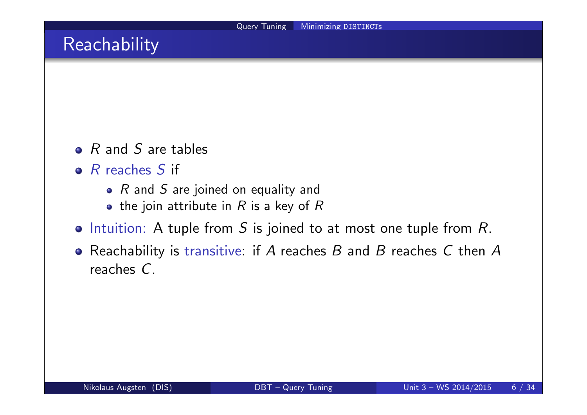### Reachability

- $\bullet$  R and S are tables
- $\bullet$  R reaches S if
	- $R$  and  $S$  are joined on equality and
	- the join attribute in  $R$  is a key of  $R$
- $\bullet$  Intuition: A tuple from S is joined to at most one tuple from R.
- Reachability is transitive: if  $A$  reaches  $B$  and  $B$  reaches  $C$  then  $A$ reaches C.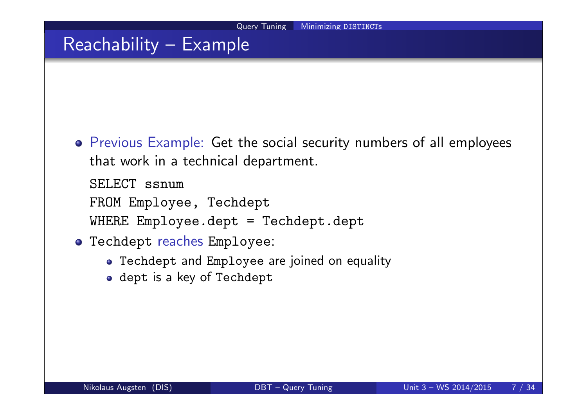## Reachability – Example

Previous Example: Get the social security numbers of all employees that work in a technical department.

SELECT ssnum

FROM Employee, Techdept

WHERE Employee.dept = Techdept.dept

- Techdept reaches Employee:
	- Techdept and Employee are joined on equality
	- o dept is a key of Techdept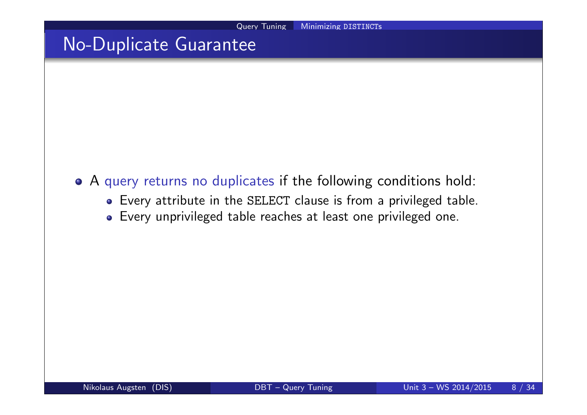## No-Duplicate Guarantee

- A query returns no duplicates if the following conditions hold:
	- Every attribute in the SELECT clause is from a privileged table.
	- Every unprivileged table reaches at least one privileged one.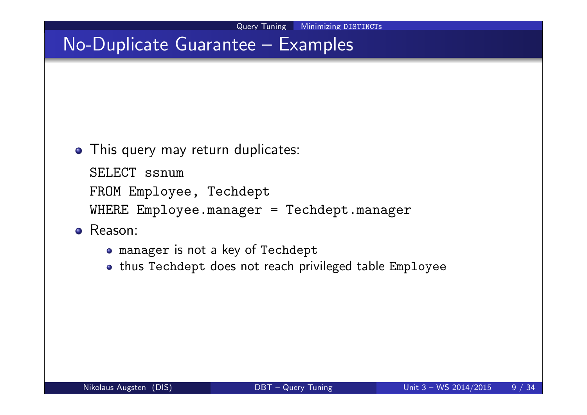• This query may return duplicates:

SELECT ssnum FROM Employee, Techdept

WHERE Employee.manager = Techdept.manager

- o Reason:
	- manager is not a key of Techdept
	- thus Techdept does not reach privileged table Employee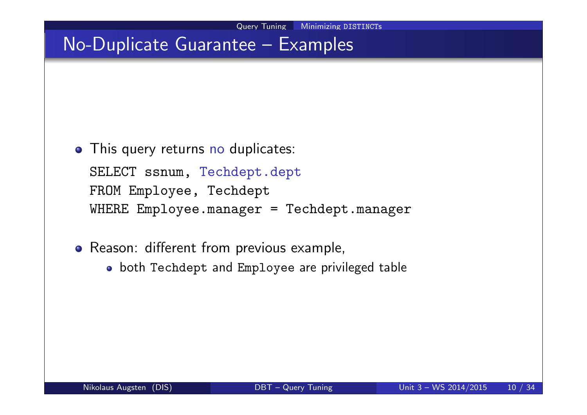- This query returns no duplicates: SELECT ssnum, Techdept.dept FROM Employee, Techdept WHERE Employee.manager = Techdept.manager
- Reason: different from previous example,
	- both Techdept and Employee are privileged table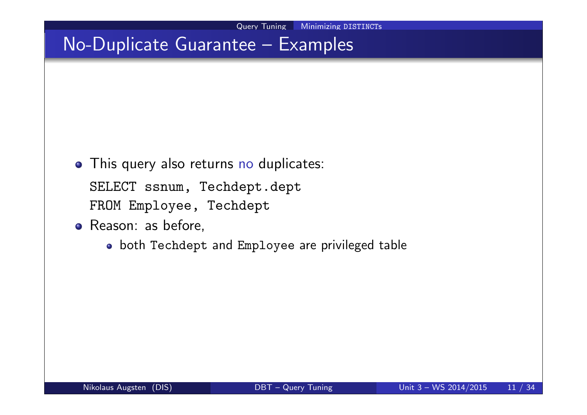• This query also returns no duplicates:

SELECT ssnum, Techdept.dept FROM Employee, Techdept

- Reason: as before,
	- both Techdept and Employee are privileged table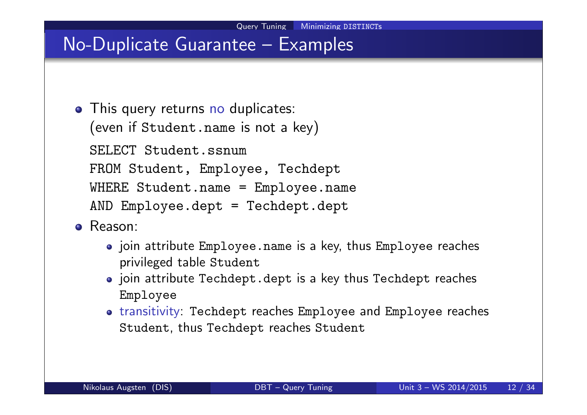- This query returns no duplicates: (even if Student.name is not a key) SELECT Student.ssnum FROM Student, Employee, Techdept WHERE Student.name = Employee.name AND Employee.dept = Techdept.dept
- Reason:
	- join attribute Employee.name is a key, thus Employee reaches privileged table Student
	- join attribute Techdept.dept is a key thus Techdept reaches Employee
	- transitivity: Techdept reaches Employee and Employee reaches Student, thus Techdept reaches Student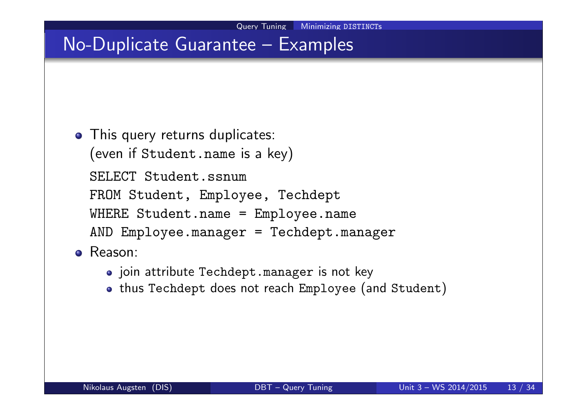- This query returns duplicates: (even if Student.name is a key) SELECT Student.ssnum FROM Student, Employee, Techdept WHERE Student.name = Employee.name AND Employee.manager = Techdept.manager
- Reason:
	- o join attribute Techdept.manager is not key
	- . thus Techdept does not reach Employee (and Student)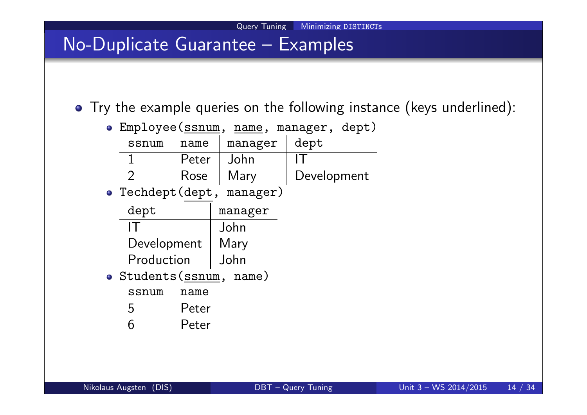Try the example queries on the following instance (keys underlined):

| • Employee (ssnum,            |       | name, manager, dept) |             |  |
|-------------------------------|-------|----------------------|-------------|--|
| ssnum                         | name  | manager              | dept        |  |
| 1                             | Peter | John                 |             |  |
| $\mathcal{P}$                 | Rose  | Mary                 | Development |  |
| manager)<br>• Techdept (dept, |       |                      |             |  |
| dept                          |       | manager              |             |  |
|                               |       | John                 |             |  |
| Development                   |       | Mary                 |             |  |
| Production                    |       | John                 |             |  |
| · Students (ssnum, name)      |       |                      |             |  |
| ssnum                         | name  |                      |             |  |
| 5                             | Peter |                      |             |  |
| რ                             | Peter |                      |             |  |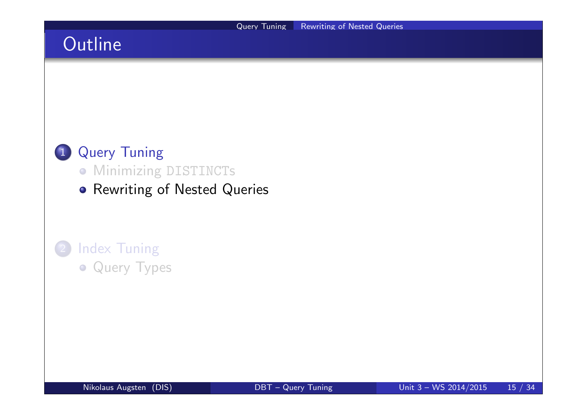## **Outline**



- **Minimizing DISTINCTs**
- **Rewriting of Nested Queries**

### **Index Tuning • Query Types**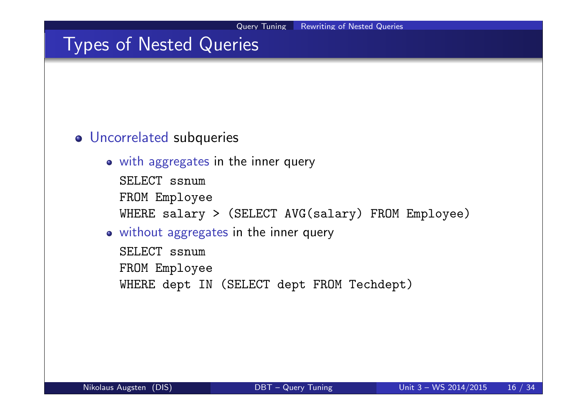### Types of Nested Queries

#### Uncorrelated subqueries

with aggregates in the inner query

SELECT ssnum FROM Employee WHERE salary > (SELECT AVG(salary) FROM Employee)

#### without aggregates in the inner query

SELECT ssnum FROM Employee WHERE dept IN (SELECT dept FROM Techdept)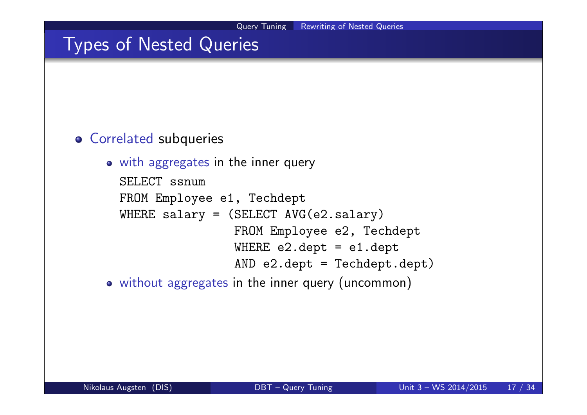### Types of Nested Queries

#### Correlated subqueries

```
• with aggregates in the inner query
 SELECT ssnum
 FROM Employee e1, Techdept
 WHERE salary = (SELECT AVG (e2.salary))FROM Employee e2, Techdept
                   WHERE e2.dept = e1.dept
                   AND e2.dept = Techdept.dept)
```
without aggregates in the inner query (uncommon)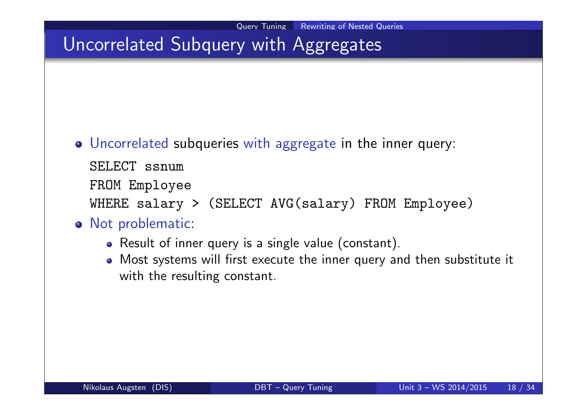# Uncorrelated Subquery with Aggregates

- Uncorrelated subqueries with aggregate in the inner query:
	- SELECT ssnum
	- FROM Employee
	- WHERE salary > (SELECT AVG(salary) FROM Employee)
- o Not problematic:
	- Result of inner query is a single value (constant).
	- Most systems will first execute the inner query and then substitute it with the resulting constant.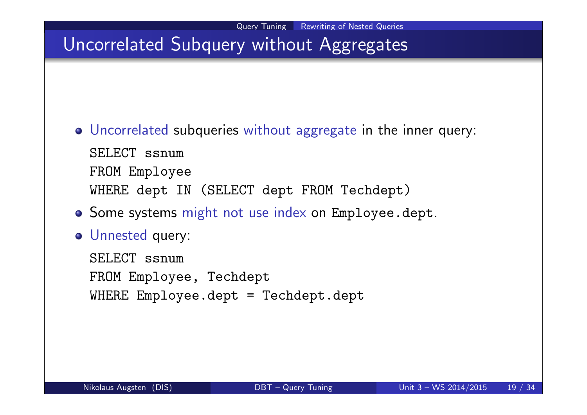# Uncorrelated Subquery without Aggregates

- Uncorrelated subqueries without aggregate in the inner query: SELECT ssnum FROM Employee WHERE dept IN (SELECT dept FROM Techdept)
- **o** Some systems might not use index on Employee.dept.
- Unnested query:

SELECT ssnum FROM Employee, Techdept WHERE Employee.dept = Techdept.dept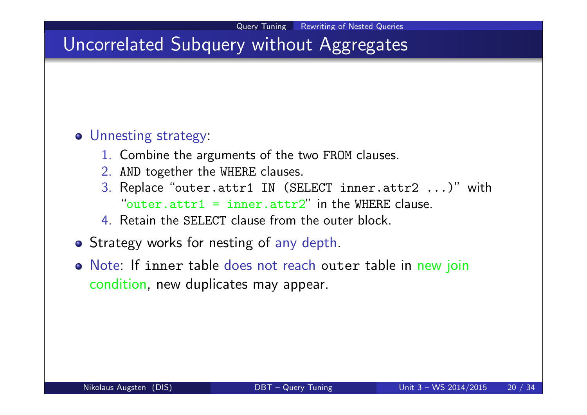## Uncorrelated Subquery without Aggregates

#### Unnesting strategy:

- 1. Combine the arguments of the two FROM clauses.
- 2. AND together the WHERE clauses.
- 3. Replace "outer.attr1 IN (SELECT inner.attr2 ...)" with "outer.attr1 = inner.attr2" in the WHERE clause.
- 4. Retain the SELECT clause from the outer block.
- Strategy works for nesting of any depth.
- Note: If inner table does not reach outer table in new join condition, new duplicates may appear.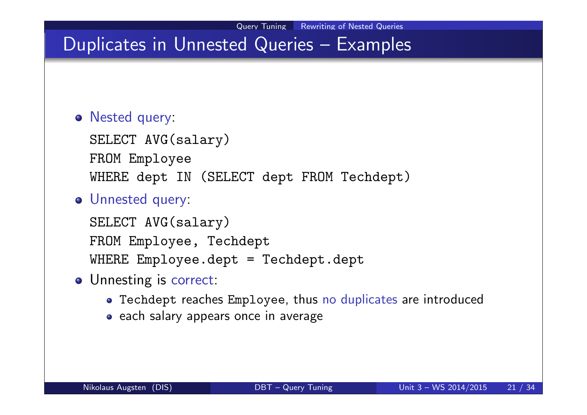### Duplicates in Unnested Queries – Examples

#### Nested query:

SELECT AVG(salary) FROM Employee WHERE dept IN (SELECT dept FROM Techdept)

#### Unnested query:

SELECT AVG(salary) FROM Employee, Techdept WHERE Employee.dept = Techdept.dept

- o Unnesting is correct:
	- Techdept reaches Employee, thus no duplicates are introduced
	- each salary appears once in average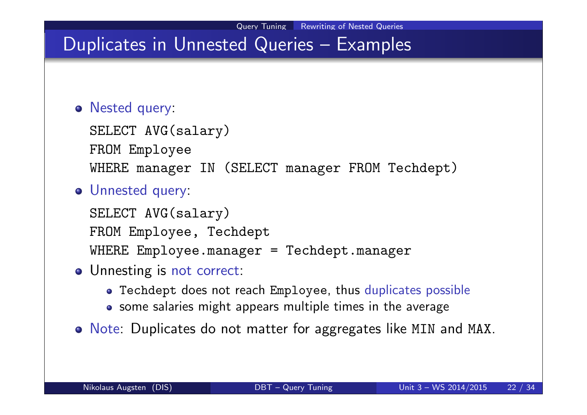## Duplicates in Unnested Queries – Examples

#### Nested query:

SELECT AVG(salary) FROM Employee WHERE manager IN (SELECT manager FROM Techdept)

#### Unnested query:

SELECT AVG(salary) FROM Employee, Techdept WHERE Employee.manager = Techdept.manager

- o Unnesting is not correct:
	- Techdept does not reach Employee, thus duplicates possible
	- some salaries might appears multiple times in the average
- o Note: Duplicates do not matter for aggregates like MIN and MAX.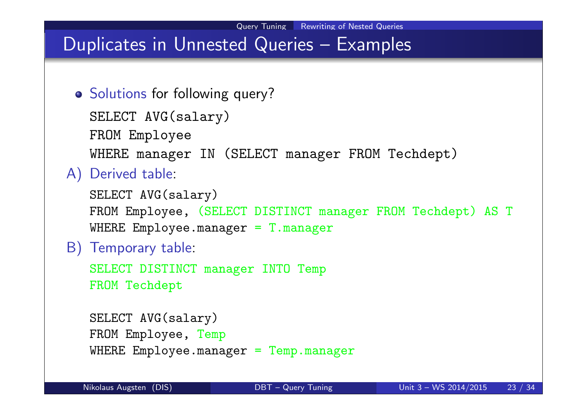# Duplicates in Unnested Queries – Examples

o Solutions for following query?

```
SELECT AVG(salary)
FROM Employee
WHERE manager IN (SELECT manager FROM Techdept)
```
#### A) Derived table:

```
SELECT AVG(salary)
FROM Employee, (SELECT DISTINCT manager FROM Techdept) AS T
WHERE Employee.manager = T.manager
```
#### B) Temporary table:

```
SELECT DISTINCT manager INTO Temp
FROM Techdept
```

```
SELECT AVG(salary)
FROM Employee, Temp
WHERE Employee.manager = Temp.manager
```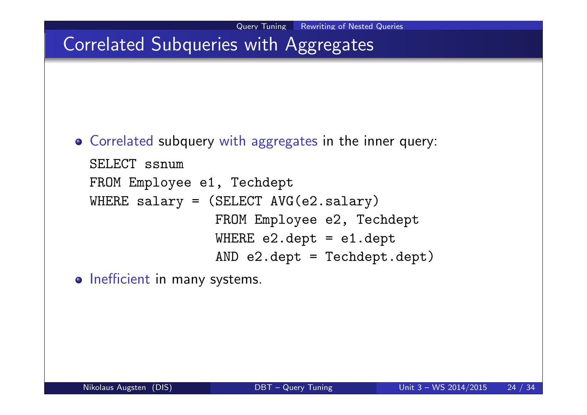# Correlated Subqueries with Aggregates

Correlated subquery with aggregates in the inner query:

```
SELECT ssnum
FROM Employee e1, Techdept
WHERE salary = (SELECT AVG(e2.salary)
                FROM Employee e2, Techdept
                WHERE e2.dept = e1.deptAND e2.dept = Techdept.dept)
```
o Inefficient in many systems.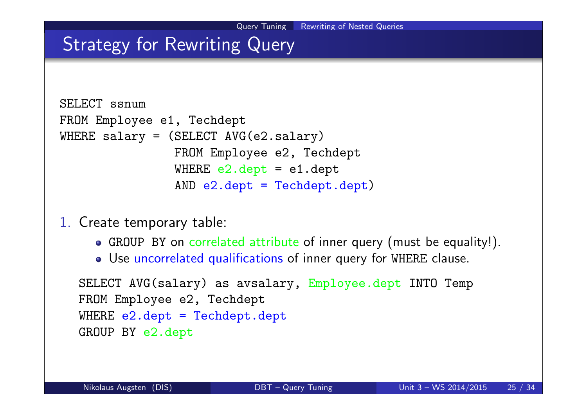## Strategy for Rewriting Query

```
SELECT ssnum
FROM Employee e1, Techdept
WHERE salary = (SELECT AVG (e2.salary))FROM Employee e2, Techdept
                WHERE e2.dept = e1.deptAND e2.dept = Techdept.dept)
```
1. Create temporary table:

- GROUP BY on correlated attribute of inner query (must be equality!).
- Use uncorrelated qualifications of inner query for WHERE clause.

```
SELECT AVG(salary) as avsalary, Employee.dept INTO Temp
FROM Employee e2, Techdept
WHERE e2.dept = Techdepth.deptGROUP BY e2.dept
```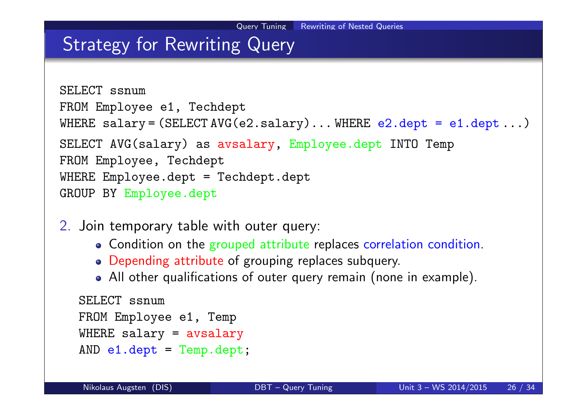### Strategy for Rewriting Query

```
SELECT ssnum
FROM Employee e1, Techdept
WHERE salary = (SELECT AVG (e2.salary) ... WHERE e2.dept = e1.dept ...)SELECT AVG(salary) as avsalary, Employee.dept INTO Temp
FROM Employee, Techdept
WHERE Employee.dept = Techdept.dept
GROUP BY Employee.dept
```
- 2. Join temporary table with outer query:
	- Condition on the grouped attribute replaces correlation condition.
	- Depending attribute of grouping replaces subquery.
	- All other qualifications of outer query remain (none in example).

```
SELECT ssnum
FROM Employee e1, Temp
WHERE salary = avsalary
AND e1.dept = Temp.dept;
```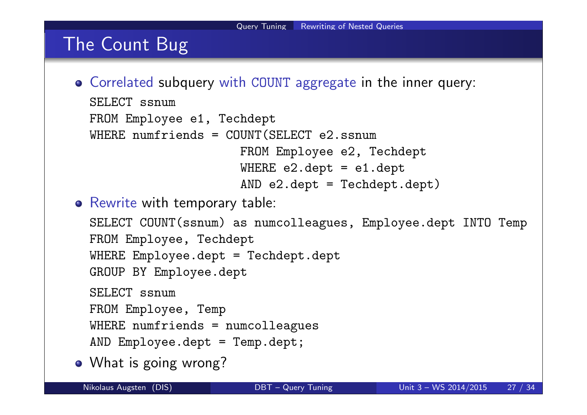### The Count Bug

- Correlated subquery with COUNT aggregate in the inner query: SELECT ssnum FROM Employee e1, Techdept WHERE numfriends =  $COUNT(SELECT e2.ssnum$ FROM Employee e2, Techdept WHERE e2.dept = e1.dept AND e2.dept = Techdept.dept)
- **•** Rewrite with temporary table:

```
SELECT COUNT(ssnum) as numcolleagues, Employee.dept INTO Temp
  FROM Employee, Techdept
  WHERE Employee.dept = Techdept.dept
  GROUP BY Employee.dept
  SELECT ssnum
  FROM Employee, Temp
  WHERE numfriends = numcolleagues
  AND Employee.dept = Temp.dept;
• What is going wrong?
```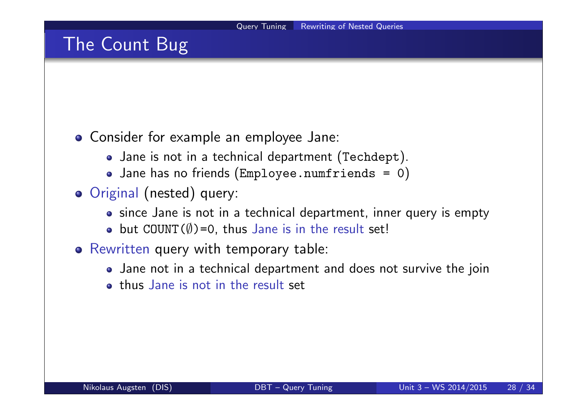### The Count Bug

#### Consider for example an employee Jane:

- Jane is not in a technical department (Techdept).
- Jane has no friends (Employee.numfriends = 0)
- o Original (nested) query:
	- since Jane is not in a technical department, inner query is empty
	- $\bullet$  but COUNT( $\emptyset$ )=0, thus Jane is in the result set!
- Rewritten query with temporary table:
	- Jane not in a technical department and does not survive the join
	- **o** thus Jane is not in the result set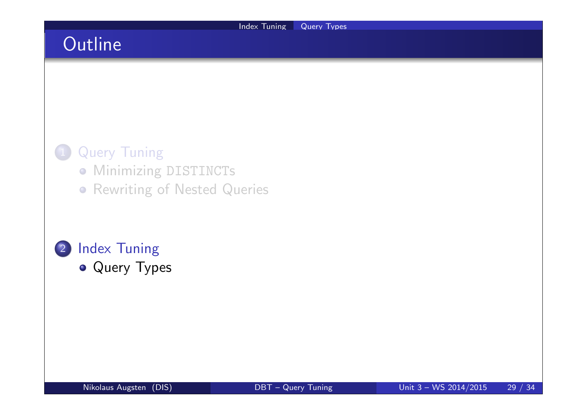# **Outline**

### **Query Tuning**

- **Minimizing DISTINCTs**
- **Rewriting of Nested Queries**

#### 2 Index Tuning • Query Types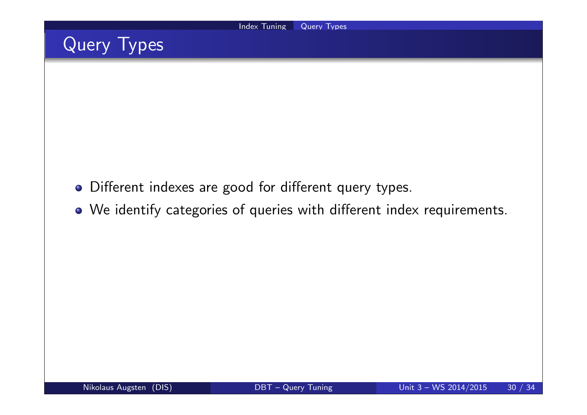

- Different indexes are good for different query types.
- We identify categories of queries with different index requirements.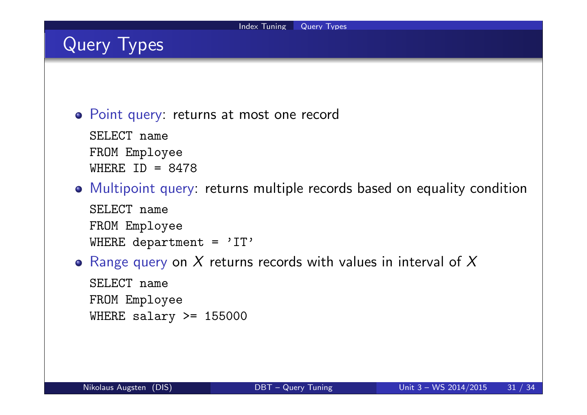Point query: returns at most one record

SELECT name FROM Employee WHERE  $ID = 8478$ 

Multipoint query: returns multiple records based on equality condition

SELECT name FROM Employee WHERE department =  $'IT'$ 

• Range query on X returns records with values in interval of X

SELECT name FROM Employee WHERE salary >= 155000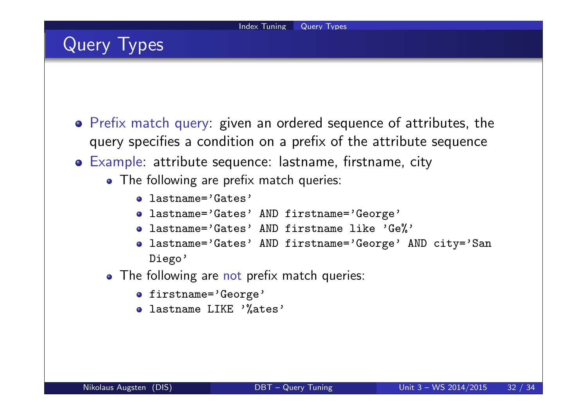- Prefix match query: given an ordered sequence of attributes, the query specifies a condition on a prefix of the attribute sequence
- Example: attribute sequence: lastname, firstname, city
	- The following are prefix match queries:
		- lastname='Gates'
		- lastname='Gates' AND firstname='George'
		- lastname='Gates' AND firstname like 'Ge%'
		- lastname='Gates' AND firstname='George' AND city='San Diego'
	- The following are not prefix match queries:
		- o firstname='George'
		- o lastname LIKE '%ates'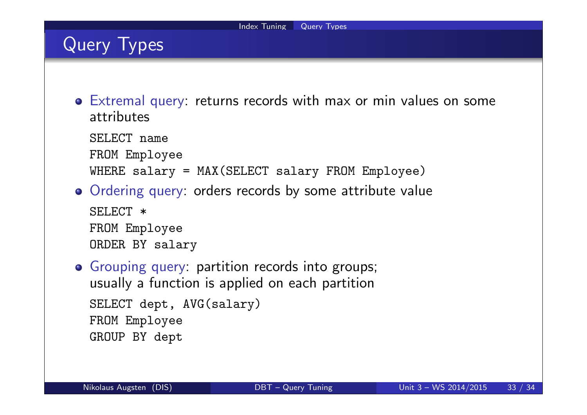- Extremal query: returns records with max or min values on some attributes
	- SELECT name
	- FROM Employee
	- WHERE salary = MAX(SELECT salary FROM Employee)
- Ordering query: orders records by some attribute value SELECT  $*$ FROM Employee ORDER BY salary
- Grouping query: partition records into groups; usually a function is applied on each partition SELECT dept, AVG(salary) FROM Employee GROUP BY dept